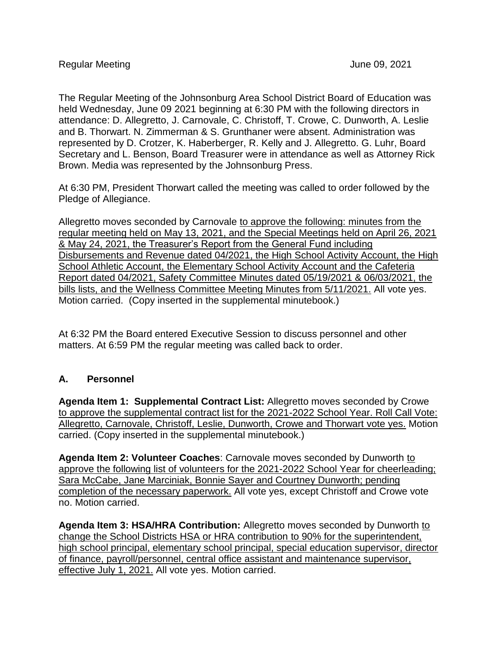The Regular Meeting of the Johnsonburg Area School District Board of Education was held Wednesday, June 09 2021 beginning at 6:30 PM with the following directors in attendance: D. Allegretto, J. Carnovale, C. Christoff, T. Crowe, C. Dunworth, A. Leslie and B. Thorwart. N. Zimmerman & S. Grunthaner were absent. Administration was represented by D. Crotzer, K. Haberberger, R. Kelly and J. Allegretto. G. Luhr, Board Secretary and L. Benson, Board Treasurer were in attendance as well as Attorney Rick Brown. Media was represented by the Johnsonburg Press.

At 6:30 PM, President Thorwart called the meeting was called to order followed by the Pledge of Allegiance.

Allegretto moves seconded by Carnovale to approve the following: minutes from the regular meeting held on May 13, 2021, and the Special Meetings held on April 26, 2021 & May 24, 2021, the Treasurer's Report from the General Fund including Disbursements and Revenue dated 04/2021, the High School Activity Account, the High School Athletic Account, the Elementary School Activity Account and the Cafeteria Report dated 04/2021, Safety Committee Minutes dated 05/19/2021 & 06/03/2021, the bills lists, and the Wellness Committee Meeting Minutes from 5/11/2021. All vote yes. Motion carried. (Copy inserted in the supplemental minutebook.)

At 6:32 PM the Board entered Executive Session to discuss personnel and other matters. At 6:59 PM the regular meeting was called back to order.

## **A. Personnel**

**Agenda Item 1: Supplemental Contract List:** Allegretto moves seconded by Crowe to approve the supplemental contract list for the 2021-2022 School Year. Roll Call Vote: Allegretto, Carnovale, Christoff, Leslie, Dunworth, Crowe and Thorwart vote yes. Motion carried. (Copy inserted in the supplemental minutebook.)

**Agenda Item 2: Volunteer Coaches**: Carnovale moves seconded by Dunworth to approve the following list of volunteers for the 2021-2022 School Year for cheerleading; Sara McCabe, Jane Marciniak, Bonnie Sayer and Courtney Dunworth; pending completion of the necessary paperwork. All vote yes, except Christoff and Crowe vote no. Motion carried.

**Agenda Item 3: HSA/HRA Contribution:** Allegretto moves seconded by Dunworth to change the School Districts HSA or HRA contribution to 90% for the superintendent, high school principal, elementary school principal, special education supervisor, director of finance, payroll/personnel, central office assistant and maintenance supervisor, effective July 1, 2021. All vote yes. Motion carried.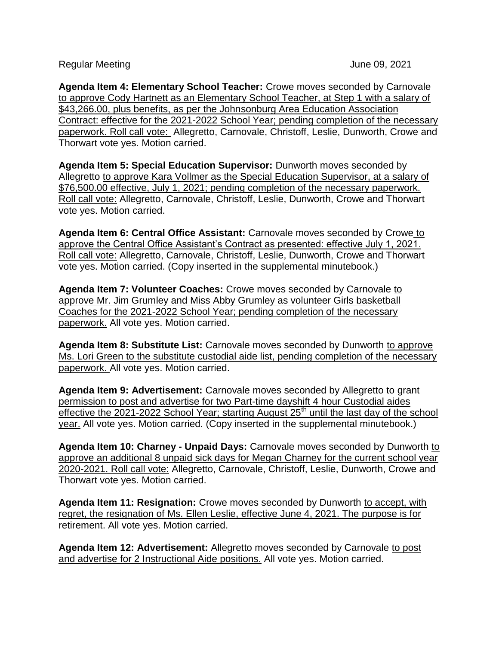Regular Meeting **Contract Contract Contract Contract Contract Contract Contract Contract Contract Contract Contract Contract Contract Contract Contract Contract Contract Contract Contract Contract Contract Contract Contrac** 

**Agenda Item 4: Elementary School Teacher:** Crowe moves seconded by Carnovale to approve Cody Hartnett as an Elementary School Teacher, at Step 1 with a salary of \$43,266.00, plus benefits, as per the Johnsonburg Area Education Association Contract: effective for the 2021-2022 School Year; pending completion of the necessary paperwork. Roll call vote: Allegretto, Carnovale, Christoff, Leslie, Dunworth, Crowe and Thorwart vote yes. Motion carried.

**Agenda Item 5: Special Education Supervisor:** Dunworth moves seconded by Allegretto to approve Kara Vollmer as the Special Education Supervisor, at a salary of \$76,500.00 effective, July 1, 2021; pending completion of the necessary paperwork. Roll call vote: Allegretto, Carnovale, Christoff, Leslie, Dunworth, Crowe and Thorwart vote yes. Motion carried.

**Agenda Item 6: Central Office Assistant:** Carnovale moves seconded by Crowe to approve the Central Office Assistant's Contract as presented: effective July 1, 2021. Roll call vote: Allegretto, Carnovale, Christoff, Leslie, Dunworth, Crowe and Thorwart vote yes. Motion carried. (Copy inserted in the supplemental minutebook.)

**Agenda Item 7: Volunteer Coaches:** Crowe moves seconded by Carnovale to approve Mr. Jim Grumley and Miss Abby Grumley as volunteer Girls basketball Coaches for the 2021-2022 School Year; pending completion of the necessary paperwork. All vote yes. Motion carried.

**Agenda Item 8: Substitute List:** Carnovale moves seconded by Dunworth to approve Ms. Lori Green to the substitute custodial aide list, pending completion of the necessary paperwork. All vote yes. Motion carried.

**Agenda Item 9: Advertisement:** Carnovale moves seconded by Allegretto to grant permission to post and advertise for two Part-time dayshift 4 hour Custodial aides effective the 2021-2022 School Year; starting August  $25<sup>th</sup>$  until the last day of the school year. All vote yes. Motion carried. (Copy inserted in the supplemental minutebook.)

**Agenda Item 10: Charney - Unpaid Days:** Carnovale moves seconded by Dunworth to approve an additional 8 unpaid sick days for Megan Charney for the current school year 2020-2021. Roll call vote: Allegretto, Carnovale, Christoff, Leslie, Dunworth, Crowe and Thorwart vote yes. Motion carried.

**Agenda Item 11: Resignation:** Crowe moves seconded by Dunworth to accept, with regret, the resignation of Ms. Ellen Leslie, effective June 4, 2021. The purpose is for retirement. All vote yes. Motion carried.

**Agenda Item 12: Advertisement:** Allegretto moves seconded by Carnovale to post and advertise for 2 Instructional Aide positions. All vote yes. Motion carried.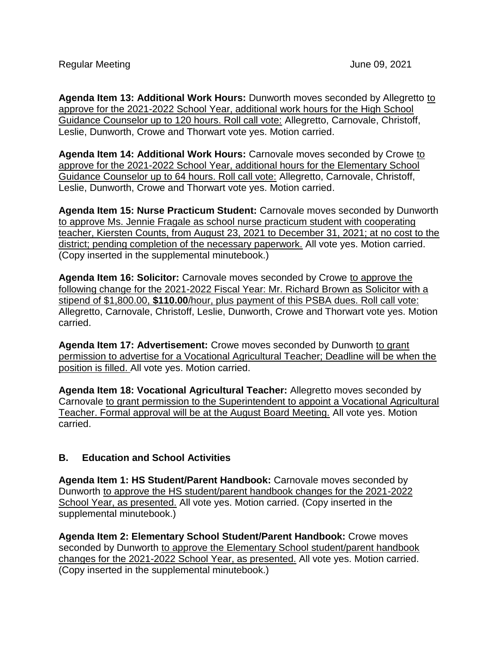**Agenda Item 13: Additional Work Hours:** Dunworth moves seconded by Allegretto to approve for the 2021-2022 School Year, additional work hours for the High School Guidance Counselor up to 120 hours. Roll call vote: Allegretto, Carnovale, Christoff, Leslie, Dunworth, Crowe and Thorwart vote yes. Motion carried.

**Agenda Item 14: Additional Work Hours:** Carnovale moves seconded by Crowe to approve for the 2021-2022 School Year, additional hours for the Elementary School Guidance Counselor up to 64 hours. Roll call vote: Allegretto, Carnovale, Christoff, Leslie, Dunworth, Crowe and Thorwart vote yes. Motion carried.

**Agenda Item 15: Nurse Practicum Student:** Carnovale moves seconded by Dunworth to approve Ms. Jennie Fragale as school nurse practicum student with cooperating teacher, Kiersten Counts, from August 23, 2021 to December 31, 2021; at no cost to the district; pending completion of the necessary paperwork. All vote yes. Motion carried. (Copy inserted in the supplemental minutebook.)

**Agenda Item 16: Solicitor:** Carnovale moves seconded by Crowe to approve the following change for the 2021-2022 Fiscal Year: Mr. Richard Brown as Solicitor with a stipend of \$1,800.00, **\$110.00**/hour, plus payment of this PSBA dues. Roll call vote: Allegretto, Carnovale, Christoff, Leslie, Dunworth, Crowe and Thorwart vote yes. Motion carried.

**Agenda Item 17: Advertisement:** Crowe moves seconded by Dunworth to grant permission to advertise for a Vocational Agricultural Teacher; Deadline will be when the position is filled. All vote yes. Motion carried.

**Agenda Item 18: Vocational Agricultural Teacher:** Allegretto moves seconded by Carnovale to grant permission to the Superintendent to appoint a Vocational Agricultural Teacher. Formal approval will be at the August Board Meeting. All vote yes. Motion carried.

## **B. Education and School Activities**

**Agenda Item 1: HS Student/Parent Handbook:** Carnovale moves seconded by Dunworth to approve the HS student/parent handbook changes for the 2021-2022 School Year, as presented. All vote yes. Motion carried. (Copy inserted in the supplemental minutebook.)

**Agenda Item 2: Elementary School Student/Parent Handbook:** Crowe moves seconded by Dunworth to approve the Elementary School student/parent handbook changes for the 2021-2022 School Year, as presented. All vote yes. Motion carried. (Copy inserted in the supplemental minutebook.)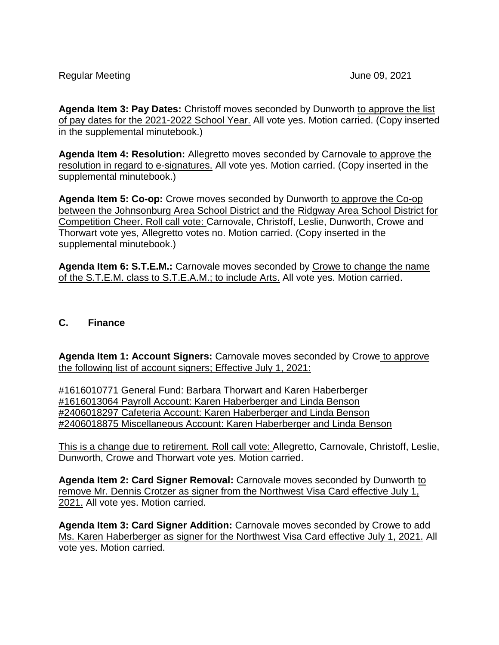**Agenda Item 3: Pay Dates:** Christoff moves seconded by Dunworth to approve the list of pay dates for the 2021-2022 School Year. All vote yes. Motion carried. (Copy inserted in the supplemental minutebook.)

**Agenda Item 4: Resolution:** Allegretto moves seconded by Carnovale to approve the resolution in regard to e-signatures. All vote yes. Motion carried. (Copy inserted in the supplemental minutebook.)

**Agenda Item 5: Co-op:** Crowe moves seconded by Dunworth to approve the Co-op between the Johnsonburg Area School District and the Ridgway Area School District for Competition Cheer. Roll call vote: Carnovale, Christoff, Leslie, Dunworth, Crowe and Thorwart vote yes, Allegretto votes no. Motion carried. (Copy inserted in the supplemental minutebook.)

**Agenda Item 6: S.T.E.M.:** Carnovale moves seconded by Crowe to change the name of the S.T.E.M. class to S.T.E.A.M.; to include Arts. All vote yes. Motion carried.

## **C. Finance**

**Agenda Item 1: Account Signers:** Carnovale moves seconded by Crowe to approve the following list of account signers; Effective July 1, 2021:

#1616010771 General Fund: Barbara Thorwart and Karen Haberberger #1616013064 Payroll Account: Karen Haberberger and Linda Benson #2406018297 Cafeteria Account: Karen Haberberger and Linda Benson #2406018875 Miscellaneous Account: Karen Haberberger and Linda Benson

This is a change due to retirement. Roll call vote: Allegretto, Carnovale, Christoff, Leslie, Dunworth, Crowe and Thorwart vote yes. Motion carried.

**Agenda Item 2: Card Signer Removal:** Carnovale moves seconded by Dunworth to remove Mr. Dennis Crotzer as signer from the Northwest Visa Card effective July 1, 2021. All vote yes. Motion carried.

**Agenda Item 3: Card Signer Addition:** Carnovale moves seconded by Crowe to add Ms. Karen Haberberger as signer for the Northwest Visa Card effective July 1, 2021. All vote yes. Motion carried.